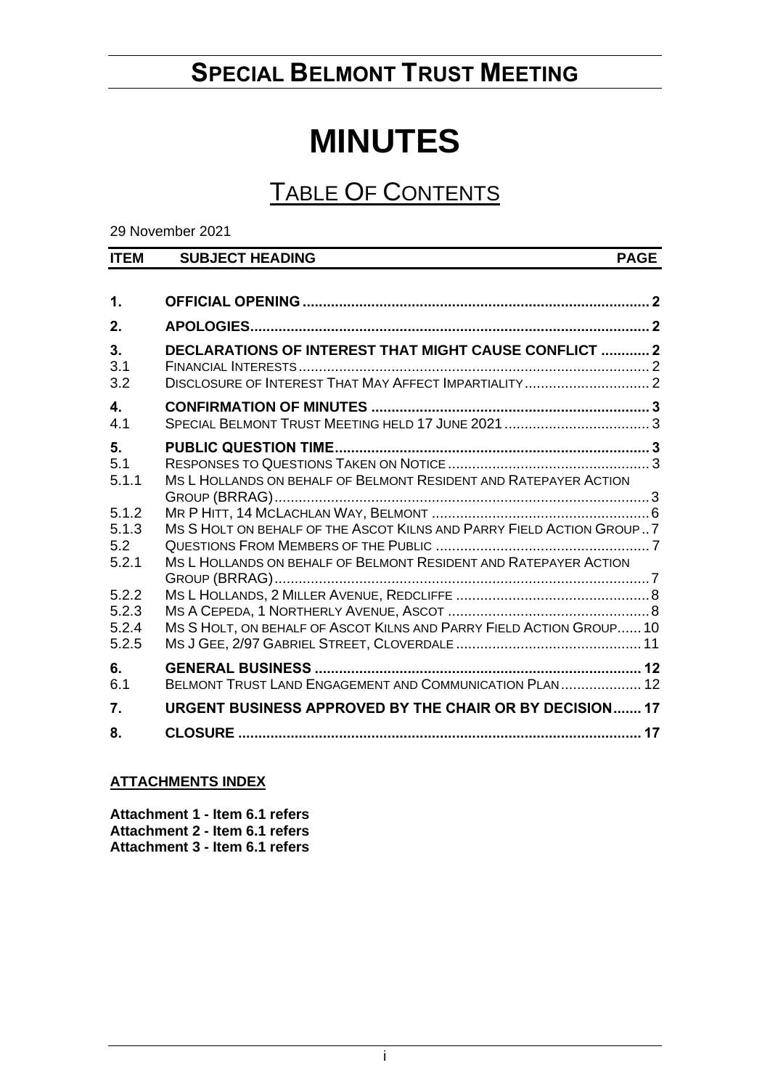# **SPECIAL BELMONT TRUST MEETING**

# **MINUTES**

# TABLE OF CONTENTS

29 November 2021

| <b>ITEM</b>                      | <b>SUBJECT HEADING</b>                                                                                                | <b>PAGE</b> |
|----------------------------------|-----------------------------------------------------------------------------------------------------------------------|-------------|
|                                  |                                                                                                                       |             |
| 1.                               |                                                                                                                       |             |
| 2.                               |                                                                                                                       |             |
| 3.<br>3.1                        | <b>DECLARATIONS OF INTEREST THAT MIGHT CAUSE CONFLICT  2</b><br>DISCLOSURE OF INTEREST THAT MAY AFFECT IMPARTIALITY 2 |             |
| 3.2                              |                                                                                                                       |             |
| $\overline{\mathbf{4}}$ .<br>4.1 |                                                                                                                       |             |
| 5.<br>5.1<br>5.1.1               | MS L HOLLANDS ON BEHALF OF BELMONT RESIDENT AND RATEPAYER ACTION                                                      |             |
| 5.1.2<br>5.1.3                   | MS SHOLT ON BEHALF OF THE ASCOT KILNS AND PARRY FIELD ACTION GROUP7                                                   |             |
| 5.2<br>5.2.1                     | MS L HOLLANDS ON BEHALF OF BELMONT RESIDENT AND RATEPAYER ACTION                                                      |             |
| 5.2.2<br>5.2.3<br>5.2.4<br>5.2.5 | MS S HOLT, ON BEHALF OF ASCOT KILNS AND PARRY FIELD ACTION GROUP 10                                                   |             |
| 6.<br>6.1                        | BELMONT TRUST LAND ENGAGEMENT AND COMMUNICATION PLAN 12                                                               |             |
| 7.                               | URGENT BUSINESS APPROVED BY THE CHAIR OR BY DECISION 17                                                               |             |
| 8.                               |                                                                                                                       |             |

# **ATTACHMENTS INDEX**

**Attachment 1 - Item 6.1 refers Attachment 2 - Item 6.1 refers Attachment 3 - Item 6.1 refers**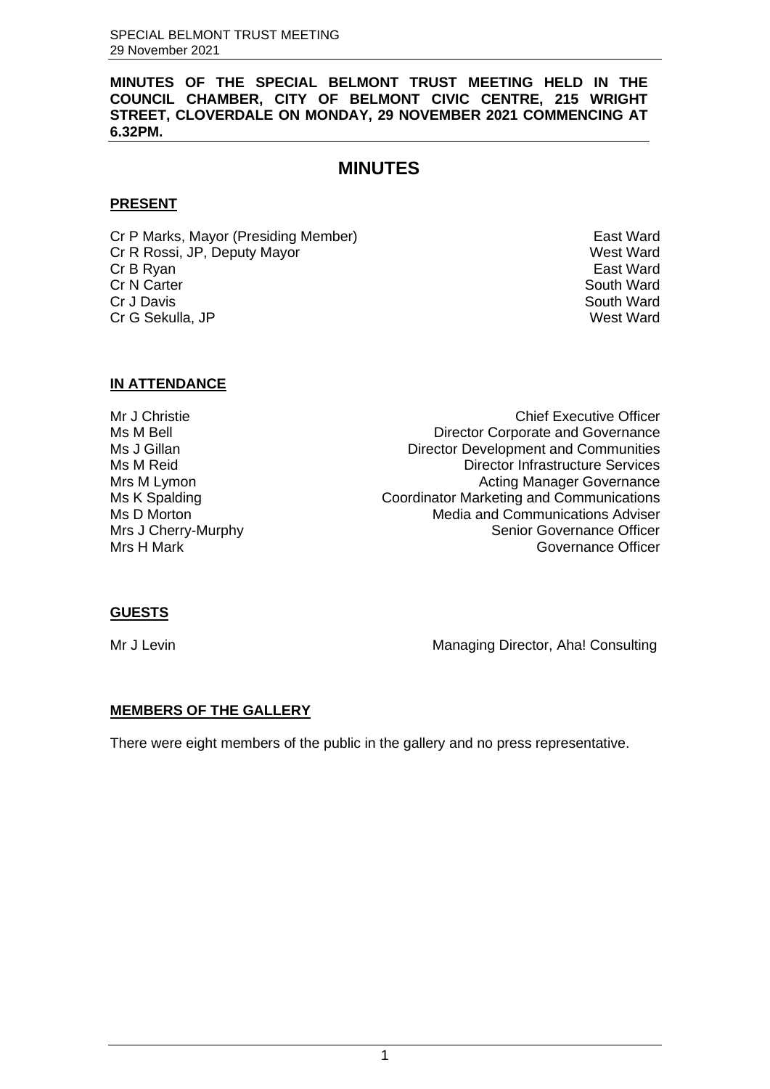**MINUTES OF THE SPECIAL BELMONT TRUST MEETING HELD IN THE COUNCIL CHAMBER, CITY OF BELMONT CIVIC CENTRE, 215 WRIGHT STREET, CLOVERDALE ON MONDAY, 29 NOVEMBER 2021 COMMENCING AT 6.32PM.**

# **MINUTES**

# **PRESENT**

Cr P Marks, Mayor (Presiding Member) example the control of the East Ward Cr R Rossi, JP, Deputy Mayor Next Ward (Cr R Rossi, JP, Deputy Mayor Next Ward Cr B Rvan Next Ward Cr B Rvan Next Ward Cr B Rvan Next Ward (Cr B Rvan Next Ward Structure Cr B Rvan Next Ward Structure Cr B Rvan Next Ward St Cr B Ryan East Ward<br>Cr N Carter Cr N Carter Cr N Carter Cr J Davis South Ward Cr G Sekulla, JP

#### **IN ATTENDANCE**

Mr J Christie Chief Executive Officer Ms M Bell Director Corporate and Governance Ms J Gillan **Director Development and Communities** Ms M Reid Director Infrastructure Services Mrs M Lymon **Manager Governance Manager Governance** Ms K Spalding **Coordinator Marketing and Communications** Ms D Morton Media and Communications Adviser<br>Media and Communications Adviser<br>Senior Governance Officer Mrs J Cherry-Murphy<br>
Mrs H Mark (Senior Governance Officer<br>
Governance Officer Governance Officer

# **GUESTS**

Mr J Levin Managing Director, Aha! Consulting

# **MEMBERS OF THE GALLERY**

There were eight members of the public in the gallery and no press representative.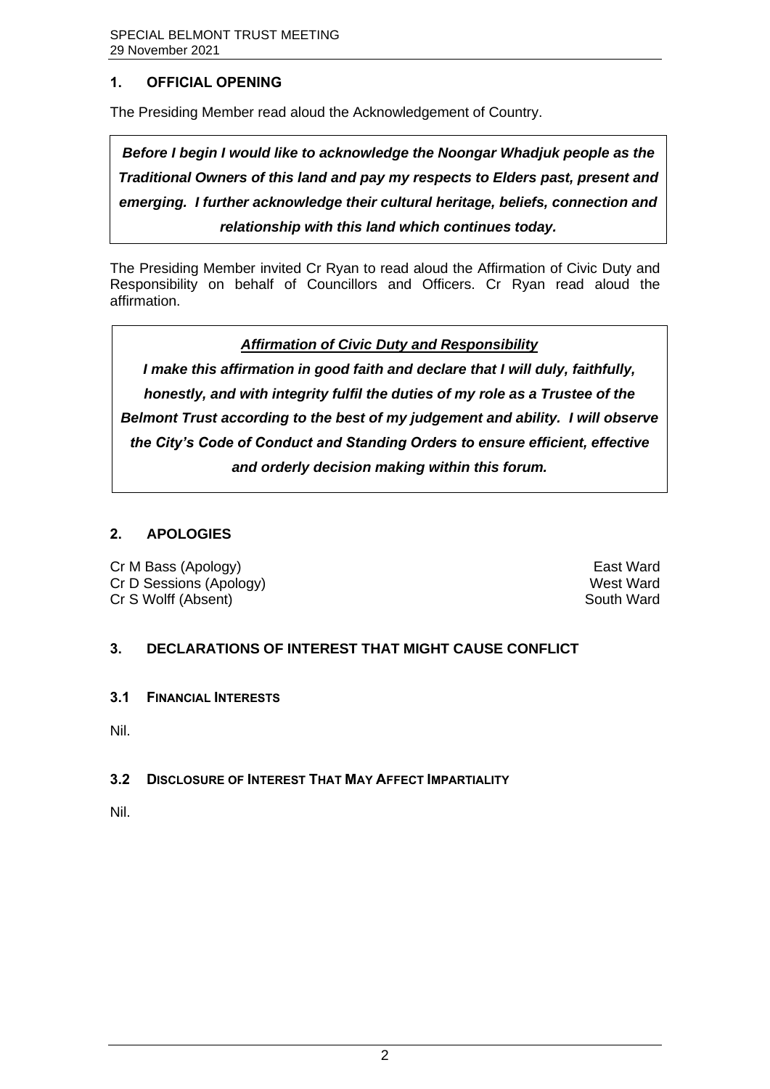# <span id="page-2-0"></span>**1. OFFICIAL OPENING**

The Presiding Member read aloud the Acknowledgement of Country.

*Before I begin I would like to acknowledge the Noongar Whadjuk people as the Traditional Owners of this land and pay my respects to Elders past, present and emerging. I further acknowledge their cultural heritage, beliefs, connection and relationship with this land which continues today.* 

The Presiding Member invited Cr Ryan to read aloud the Affirmation of Civic Duty and Responsibility on behalf of Councillors and Officers. Cr Ryan read aloud the affirmation.

*Affirmation of Civic Duty and Responsibility*

*I make this affirmation in good faith and declare that I will duly, faithfully, honestly, and with integrity fulfil the duties of my role as a Trustee of the Belmont Trust according to the best of my judgement and ability. I will observe the City's Code of Conduct and Standing Orders to ensure efficient, effective and orderly decision making within this forum.*

# <span id="page-2-1"></span>**2. APOLOGIES**

Cr M Bass (Apology) East Ward Cr D Sessions (Apology) and the control of the control of the control of the control of the control of the control of the control of the control of the control of the control of the control of the control of the control of Cr S Wolff (Absent) South Ward South Ward South Ward South Ward South Ward South Ward South Ward South Ward South Ward South Ward South Ward South Ward South Ward South Ward South Magnetic South Ward South Magnetic South M

# <span id="page-2-2"></span>**3. DECLARATIONS OF INTEREST THAT MIGHT CAUSE CONFLICT**

<span id="page-2-3"></span>**3.1 FINANCIAL INTERESTS**

Nil.

# <span id="page-2-4"></span>**3.2 DISCLOSURE OF INTEREST THAT MAY AFFECT IMPARTIALITY**

Nil.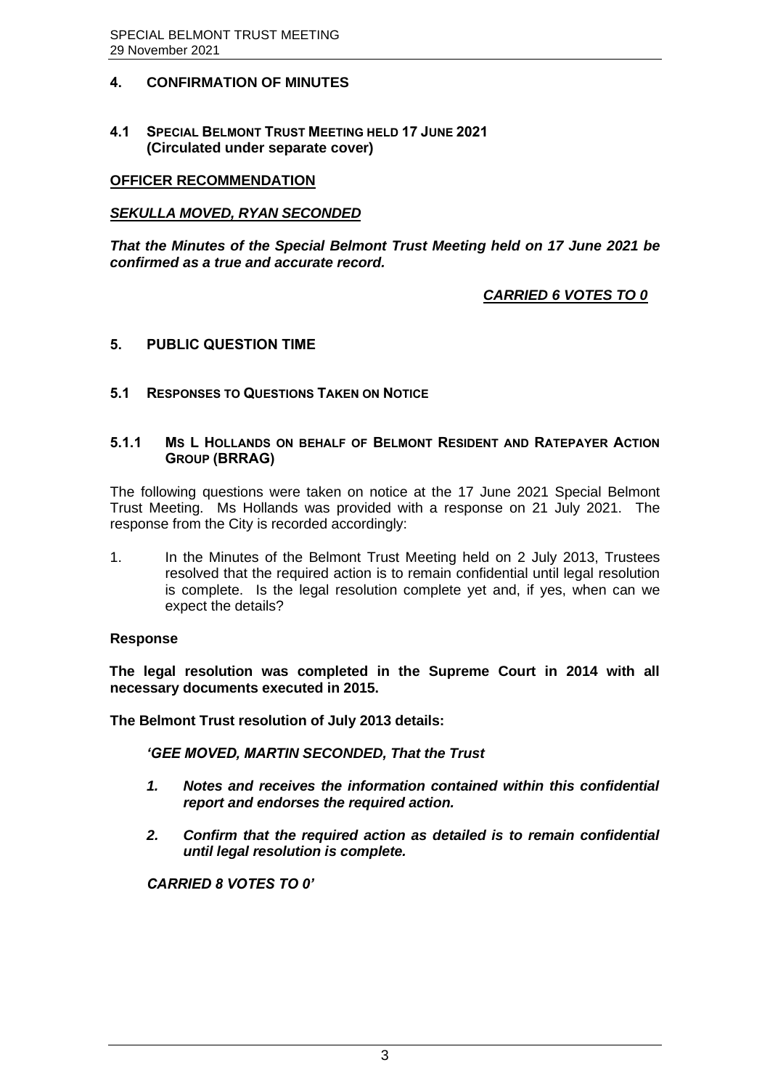# <span id="page-3-0"></span>**4. CONFIRMATION OF MINUTES**

<span id="page-3-1"></span>**4.1 SPECIAL BELMONT TRUST MEETING HELD 17 JUNE 2021 (Circulated under separate cover)**

## **OFFICER RECOMMENDATION**

#### *SEKULLA MOVED, RYAN SECONDED*

*That the Minutes of the Special Belmont Trust Meeting held on 17 June 2021 be confirmed as a true and accurate record.*

# *CARRIED 6 VOTES TO 0*

#### <span id="page-3-2"></span>**5. PUBLIC QUESTION TIME**

#### <span id="page-3-3"></span>**5.1 RESPONSES TO QUESTIONS TAKEN ON NOTICE**

#### <span id="page-3-4"></span>**5.1.1 MS L HOLLANDS ON BEHALF OF BELMONT RESIDENT AND RATEPAYER ACTION GROUP (BRRAG)**

The following questions were taken on notice at the 17 June 2021 Special Belmont Trust Meeting. Ms Hollands was provided with a response on 21 July 2021. The response from the City is recorded accordingly:

1. In the Minutes of the Belmont Trust Meeting held on 2 July 2013, Trustees resolved that the required action is to remain confidential until legal resolution is complete. Is the legal resolution complete yet and, if yes, when can we expect the details?

#### **Response**

**The legal resolution was completed in the Supreme Court in 2014 with all necessary documents executed in 2015.**

**The Belmont Trust resolution of July 2013 details:**

*'GEE MOVED, MARTIN SECONDED, That the Trust* 

- *1. Notes and receives the information contained within this confidential report and endorses the required action.*
- *2. Confirm that the required action as detailed is to remain confidential until legal resolution is complete.*

*CARRIED 8 VOTES TO 0'*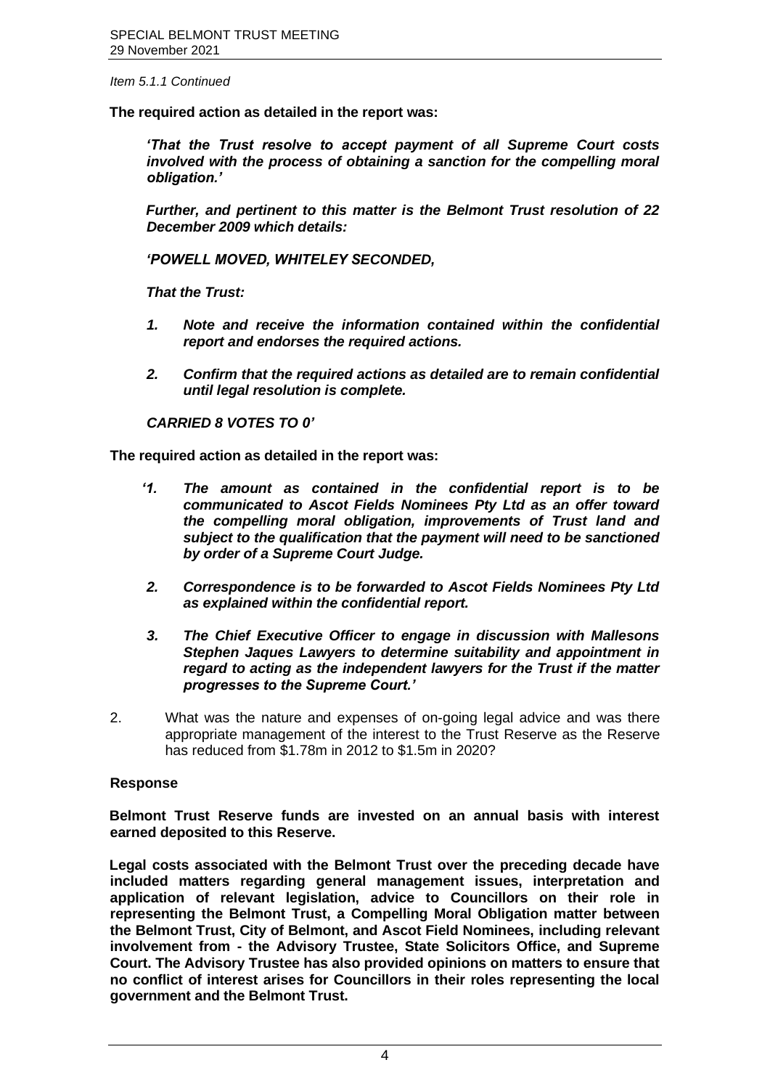*Item 5.1.1 Continued*

**The required action as detailed in the report was:** 

*'That the Trust resolve to accept payment of all Supreme Court costs involved with the process of obtaining a sanction for the compelling moral obligation.'*

*Further, and pertinent to this matter is the Belmont Trust resolution of 22 December 2009 which details:*

*'POWELL MOVED, WHITELEY SECONDED,*

*That the Trust:*

- *1. Note and receive the information contained within the confidential report and endorses the required actions.*
- *2. Confirm that the required actions as detailed are to remain confidential until legal resolution is complete.*

*CARRIED 8 VOTES TO 0'*

**The required action as detailed in the report was:**

- *'1. The amount as contained in the confidential report is to be communicated to Ascot Fields Nominees Pty Ltd as an offer toward the compelling moral obligation, improvements of Trust land and subject to the qualification that the payment will need to be sanctioned by order of a Supreme Court Judge.*
- *2. Correspondence is to be forwarded to Ascot Fields Nominees Pty Ltd as explained within the confidential report.*
- *3. The Chief Executive Officer to engage in discussion with Mallesons Stephen Jaques Lawyers to determine suitability and appointment in regard to acting as the independent lawyers for the Trust if the matter progresses to the Supreme Court.'*
- 2. What was the nature and expenses of on-going legal advice and was there appropriate management of the interest to the Trust Reserve as the Reserve has reduced from \$1.78m in 2012 to \$1.5m in 2020?

#### **Response**

**Belmont Trust Reserve funds are invested on an annual basis with interest earned deposited to this Reserve.** 

**Legal costs associated with the Belmont Trust over the preceding decade have included matters regarding general management issues, interpretation and application of relevant legislation, advice to Councillors on their role in representing the Belmont Trust, a Compelling Moral Obligation matter between the Belmont Trust, City of Belmont, and Ascot Field Nominees, including relevant involvement from - the Advisory Trustee, State Solicitors Office, and Supreme Court. The Advisory Trustee has also provided opinions on matters to ensure that no conflict of interest arises for Councillors in their roles representing the local government and the Belmont Trust.**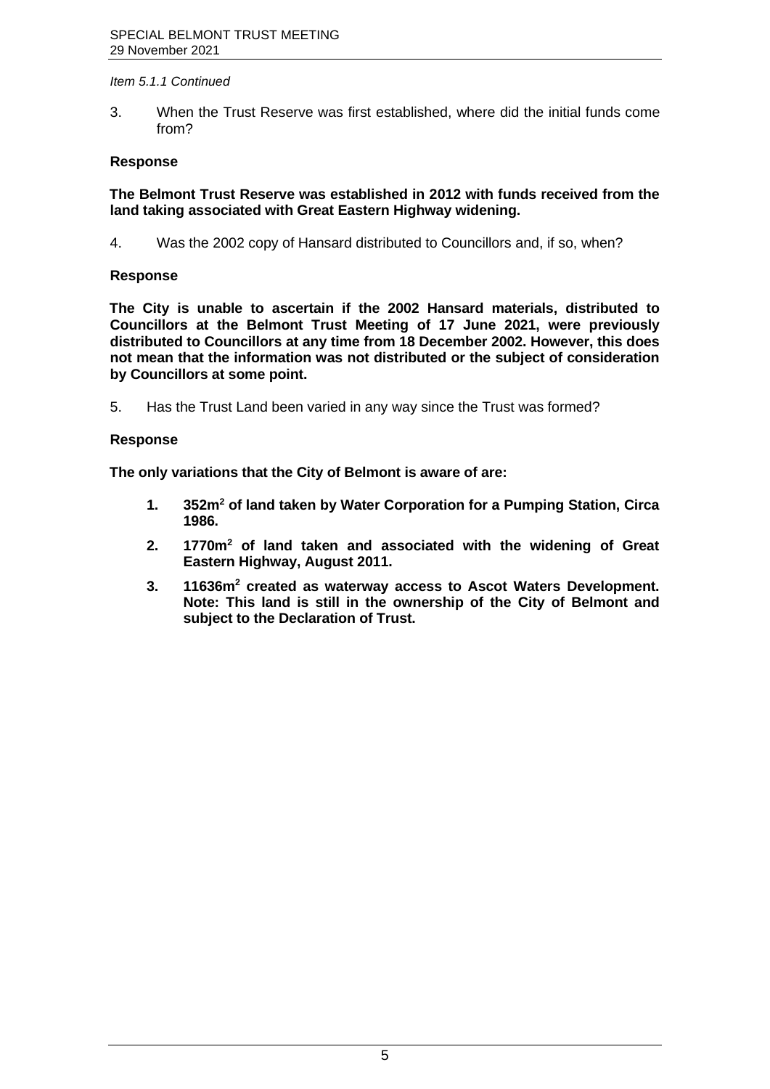#### *Item 5.1.1 Continued*

3. When the Trust Reserve was first established, where did the initial funds come from?

#### **Response**

**The Belmont Trust Reserve was established in 2012 with funds received from the land taking associated with Great Eastern Highway widening.**

4. Was the 2002 copy of Hansard distributed to Councillors and, if so, when?

### **Response**

**The City is unable to ascertain if the 2002 Hansard materials, distributed to Councillors at the Belmont Trust Meeting of 17 June 2021, were previously distributed to Councillors at any time from 18 December 2002. However, this does not mean that the information was not distributed or the subject of consideration by Councillors at some point.**

5. Has the Trust Land been varied in any way since the Trust was formed?

# **Response**

**The only variations that the City of Belmont is aware of are:**

- **1. 352m<sup>2</sup> of land taken by Water Corporation for a Pumping Station, Circa 1986.**
- **2. 1770m<sup>2</sup> of land taken and associated with the widening of Great Eastern Highway, August 2011.**
- **3. 11636m<sup>2</sup> created as waterway access to Ascot Waters Development. Note: This land is still in the ownership of the City of Belmont and subject to the Declaration of Trust.**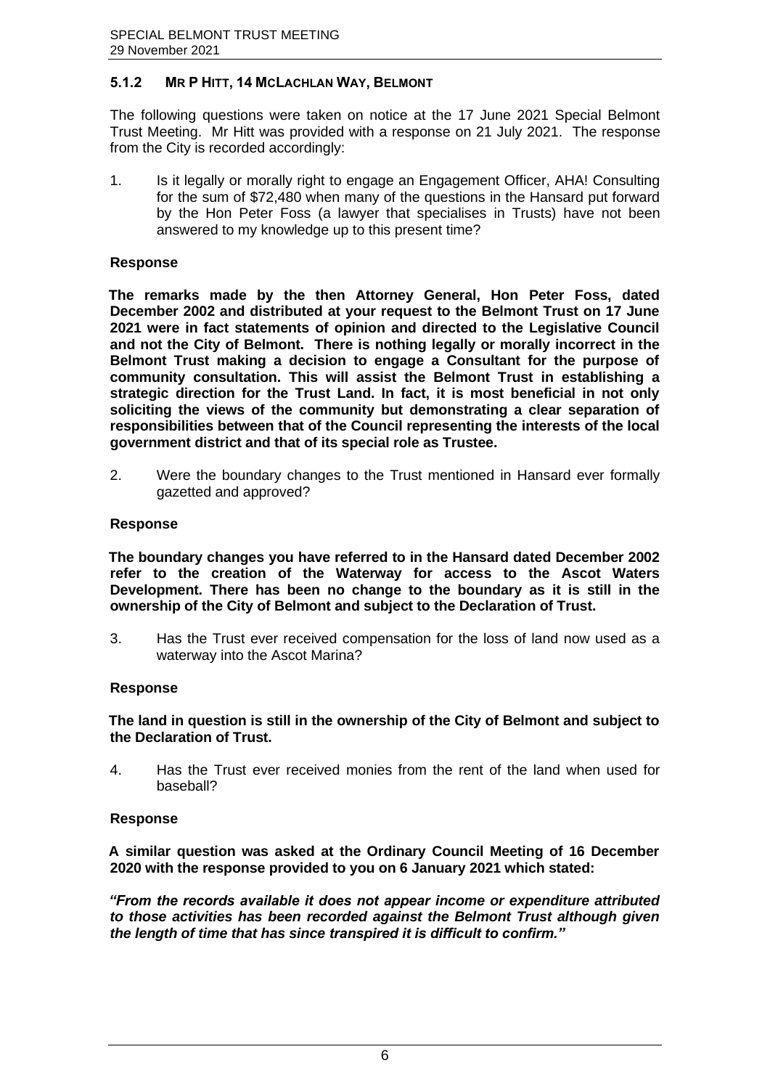# <span id="page-6-0"></span>**5.1.2 MR P HITT, 14 MCLACHLAN WAY, BELMONT**

The following questions were taken on notice at the 17 June 2021 Special Belmont Trust Meeting. Mr Hitt was provided with a response on 21 July 2021. The response from the City is recorded accordingly:

1. Is it legally or morally right to engage an Engagement Officer, AHA! Consulting for the sum of \$72,480 when many of the questions in the Hansard put forward by the Hon Peter Foss (a lawyer that specialises in Trusts) have not been answered to my knowledge up to this present time?

#### **Response**

**The remarks made by the then Attorney General, Hon Peter Foss, dated December 2002 and distributed at your request to the Belmont Trust on 17 June 2021 were in fact statements of opinion and directed to the Legislative Council and not the City of Belmont. There is nothing legally or morally incorrect in the Belmont Trust making a decision to engage a Consultant for the purpose of community consultation. This will assist the Belmont Trust in establishing a strategic direction for the Trust Land. In fact, it is most beneficial in not only soliciting the views of the community but demonstrating a clear separation of responsibilities between that of the Council representing the interests of the local government district and that of its special role as Trustee.**

2. Were the boundary changes to the Trust mentioned in Hansard ever formally gazetted and approved?

#### **Response**

**The boundary changes you have referred to in the Hansard dated December 2002 refer to the creation of the Waterway for access to the Ascot Waters Development. There has been no change to the boundary as it is still in the ownership of the City of Belmont and subject to the Declaration of Trust.**

3. Has the Trust ever received compensation for the loss of land now used as a waterway into the Ascot Marina?

#### **Response**

**The land in question is still in the ownership of the City of Belmont and subject to the Declaration of Trust.**

4. Has the Trust ever received monies from the rent of the land when used for baseball?

#### **Response**

**A similar question was asked at the Ordinary Council Meeting of 16 December 2020 with the response provided to you on 6 January 2021 which stated:**

*"From the records available it does not appear income or expenditure attributed to those activities has been recorded against the Belmont Trust although given the length of time that has since transpired it is difficult to confirm."*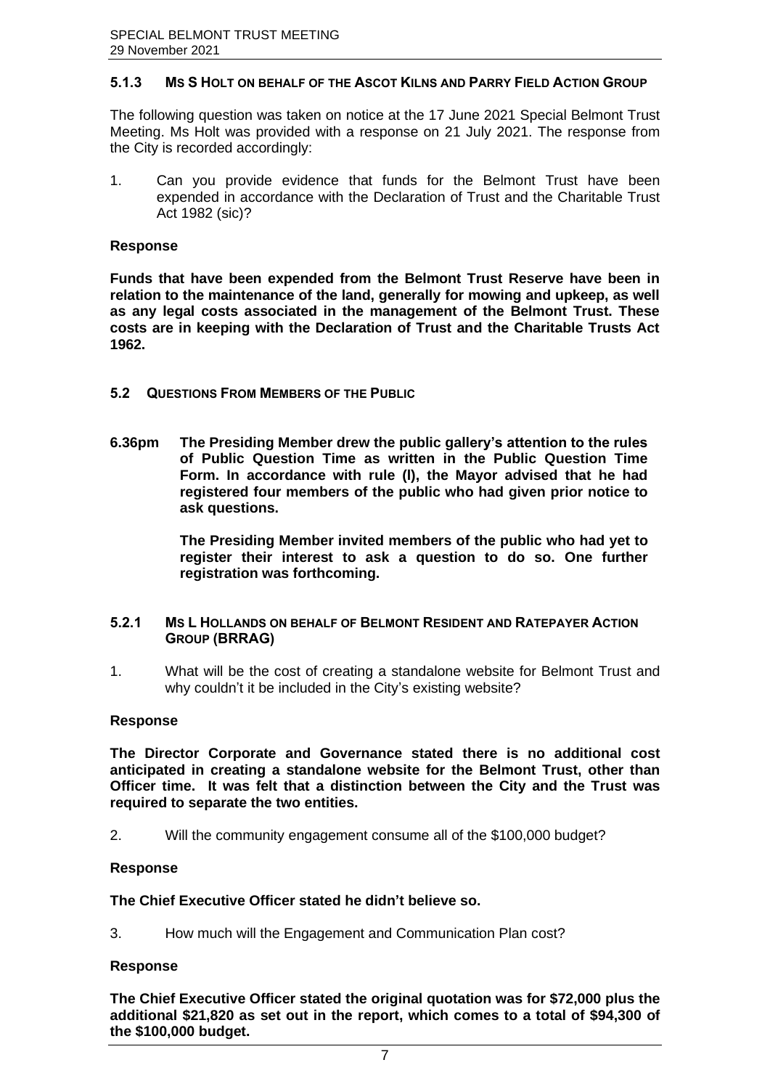#### <span id="page-7-0"></span>**5.1.3 MS S HOLT ON BEHALF OF THE ASCOT KILNS AND PARRY FIELD ACTION GROUP**

The following question was taken on notice at the 17 June 2021 Special Belmont Trust Meeting. Ms Holt was provided with a response on 21 July 2021. The response from the City is recorded accordingly:

1. Can you provide evidence that funds for the Belmont Trust have been expended in accordance with the Declaration of Trust and the Charitable Trust Act 1982 (sic)?

#### **Response**

**Funds that have been expended from the Belmont Trust Reserve have been in relation to the maintenance of the land, generally for mowing and upkeep, as well as any legal costs associated in the management of the Belmont Trust. These costs are in keeping with the Declaration of Trust and the Charitable Trusts Act 1962.**

- <span id="page-7-1"></span>**5.2 QUESTIONS FROM MEMBERS OF THE PUBLIC**
- **6.36pm The Presiding Member drew the public gallery's attention to the rules of Public Question Time as written in the Public Question Time Form. In accordance with rule (l), the Mayor advised that he had registered four members of the public who had given prior notice to ask questions.**

**The Presiding Member invited members of the public who had yet to register their interest to ask a question to do so. One further registration was forthcoming.**

#### <span id="page-7-2"></span>**5.2.1 MS L HOLLANDS ON BEHALF OF BELMONT RESIDENT AND RATEPAYER ACTION GROUP (BRRAG)**

1. What will be the cost of creating a standalone website for Belmont Trust and why couldn't it be included in the City's existing website?

#### **Response**

**The Director Corporate and Governance stated there is no additional cost anticipated in creating a standalone website for the Belmont Trust, other than Officer time. It was felt that a distinction between the City and the Trust was required to separate the two entities.**

2. Will the community engagement consume all of the \$100,000 budget?

#### **Response**

### **The Chief Executive Officer stated he didn't believe so.**

3. How much will the Engagement and Communication Plan cost?

#### **Response**

**The Chief Executive Officer stated the original quotation was for \$72,000 plus the additional \$21,820 as set out in the report, which comes to a total of \$94,300 of the \$100,000 budget.**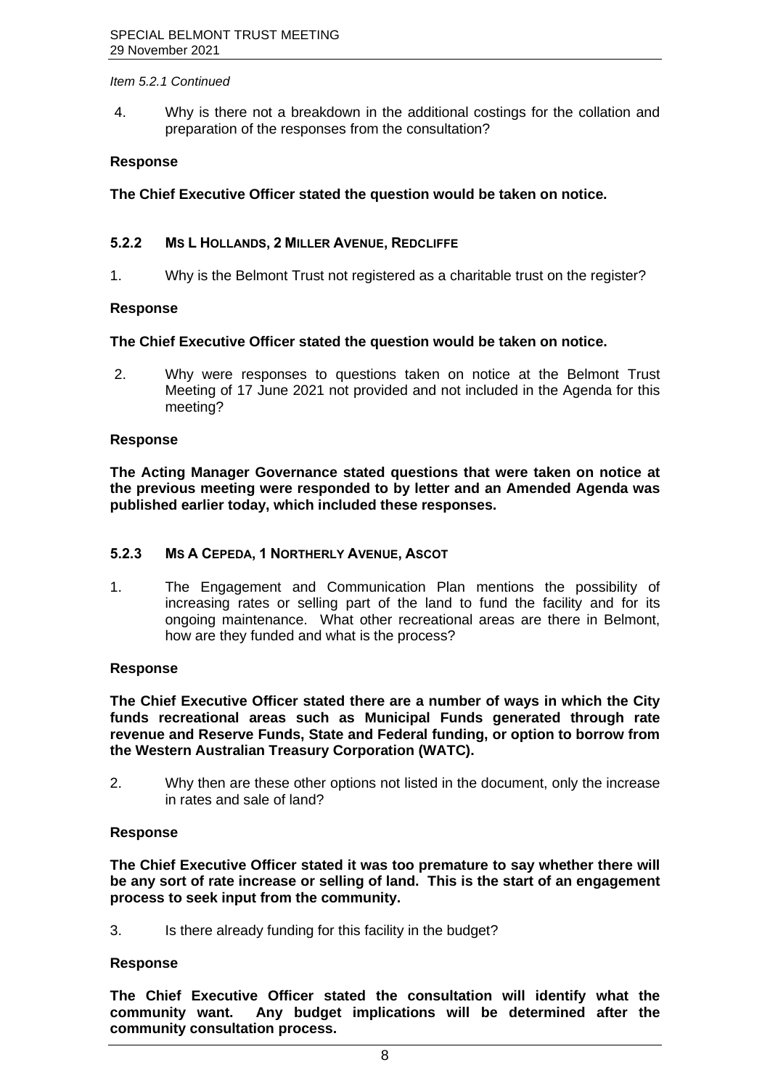#### *Item 5.2.1 Continued*

4. Why is there not a breakdown in the additional costings for the collation and preparation of the responses from the consultation?

#### **Response**

**The Chief Executive Officer stated the question would be taken on notice.**

#### <span id="page-8-0"></span>**5.2.2 MS L HOLLANDS, 2 MILLER AVENUE, REDCLIFFE**

1. Why is the Belmont Trust not registered as a charitable trust on the register?

#### **Response**

#### **The Chief Executive Officer stated the question would be taken on notice.**

2. Why were responses to questions taken on notice at the Belmont Trust Meeting of 17 June 2021 not provided and not included in the Agenda for this meeting?

#### **Response**

**The Acting Manager Governance stated questions that were taken on notice at the previous meeting were responded to by letter and an Amended Agenda was published earlier today, which included these responses.** 

#### <span id="page-8-1"></span>**5.2.3 MS A CEPEDA, 1 NORTHERLY AVENUE, ASCOT**

1. The Engagement and Communication Plan mentions the possibility of increasing rates or selling part of the land to fund the facility and for its ongoing maintenance. What other recreational areas are there in Belmont, how are they funded and what is the process?

#### **Response**

**The Chief Executive Officer stated there are a number of ways in which the City funds recreational areas such as Municipal Funds generated through rate revenue and Reserve Funds, State and Federal funding, or option to borrow from the Western Australian Treasury Corporation (WATC).** 

2. Why then are these other options not listed in the document, only the increase in rates and sale of land?

#### **Response**

**The Chief Executive Officer stated it was too premature to say whether there will be any sort of rate increase or selling of land. This is the start of an engagement process to seek input from the community.** 

3. Is there already funding for this facility in the budget?

#### **Response**

**The Chief Executive Officer stated the consultation will identify what the community want. Any budget implications will be determined after the community consultation process.**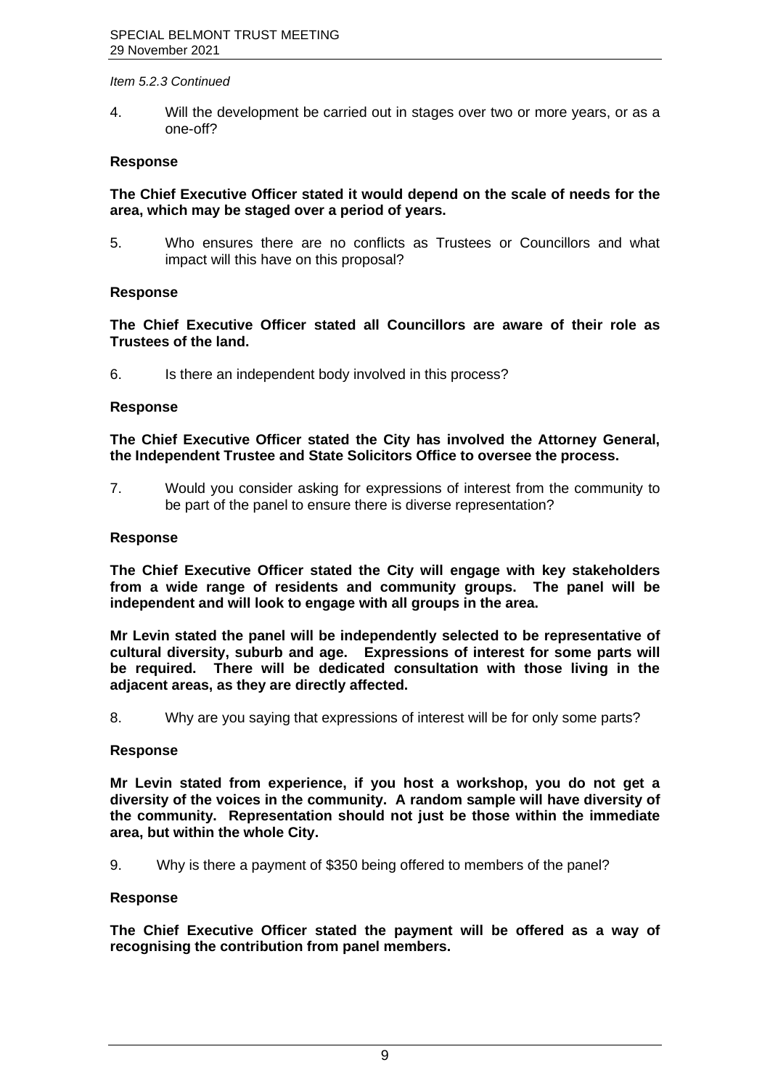#### *Item 5.2.3 Continued*

4. Will the development be carried out in stages over two or more years, or as a one-off?

#### **Response**

**The Chief Executive Officer stated it would depend on the scale of needs for the area, which may be staged over a period of years.** 

5. Who ensures there are no conflicts as Trustees or Councillors and what impact will this have on this proposal?

#### **Response**

**The Chief Executive Officer stated all Councillors are aware of their role as Trustees of the land.** 

6. Is there an independent body involved in this process?

#### **Response**

**The Chief Executive Officer stated the City has involved the Attorney General, the Independent Trustee and State Solicitors Office to oversee the process.** 

7. Would you consider asking for expressions of interest from the community to be part of the panel to ensure there is diverse representation?

## **Response**

**The Chief Executive Officer stated the City will engage with key stakeholders from a wide range of residents and community groups. The panel will be independent and will look to engage with all groups in the area.**

**Mr Levin stated the panel will be independently selected to be representative of cultural diversity, suburb and age. Expressions of interest for some parts will be required. There will be dedicated consultation with those living in the adjacent areas, as they are directly affected.** 

8. Why are you saying that expressions of interest will be for only some parts?

#### **Response**

**Mr Levin stated from experience, if you host a workshop, you do not get a diversity of the voices in the community. A random sample will have diversity of the community. Representation should not just be those within the immediate area, but within the whole City.** 

9. Why is there a payment of \$350 being offered to members of the panel?

#### **Response**

**The Chief Executive Officer stated the payment will be offered as a way of recognising the contribution from panel members.**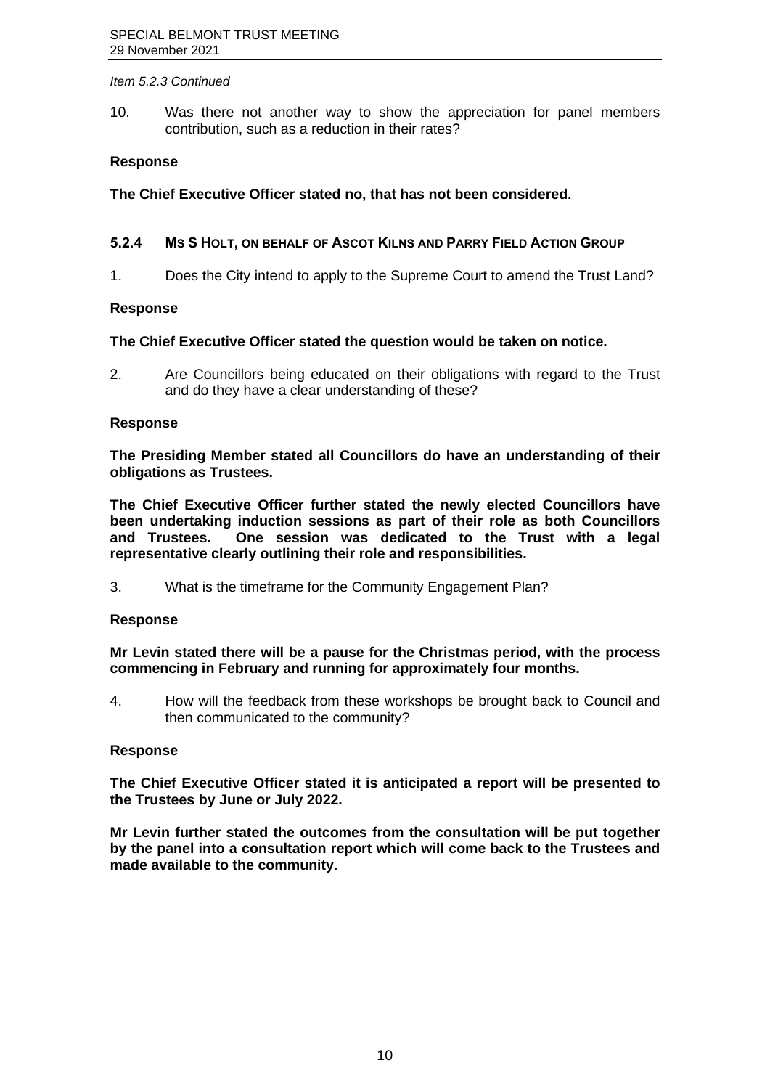#### *Item 5.2.3 Continued*

10. Was there not another way to show the appreciation for panel members contribution, such as a reduction in their rates?

## **Response**

**The Chief Executive Officer stated no, that has not been considered.**

## <span id="page-10-0"></span>**5.2.4 MS S HOLT, ON BEHALF OF ASCOT KILNS AND PARRY FIELD ACTION GROUP**

1. Does the City intend to apply to the Supreme Court to amend the Trust Land?

#### **Response**

#### **The Chief Executive Officer stated the question would be taken on notice.**

2. Are Councillors being educated on their obligations with regard to the Trust and do they have a clear understanding of these?

#### **Response**

**The Presiding Member stated all Councillors do have an understanding of their obligations as Trustees.** 

**The Chief Executive Officer further stated the newly elected Councillors have been undertaking induction sessions as part of their role as both Councillors and Trustees. One session was dedicated to the Trust with a legal representative clearly outlining their role and responsibilities.** 

3. What is the timeframe for the Community Engagement Plan?

#### **Response**

**Mr Levin stated there will be a pause for the Christmas period, with the process commencing in February and running for approximately four months.**

4. How will the feedback from these workshops be brought back to Council and then communicated to the community?

#### **Response**

**The Chief Executive Officer stated it is anticipated a report will be presented to the Trustees by June or July 2022.** 

**Mr Levin further stated the outcomes from the consultation will be put together by the panel into a consultation report which will come back to the Trustees and made available to the community.**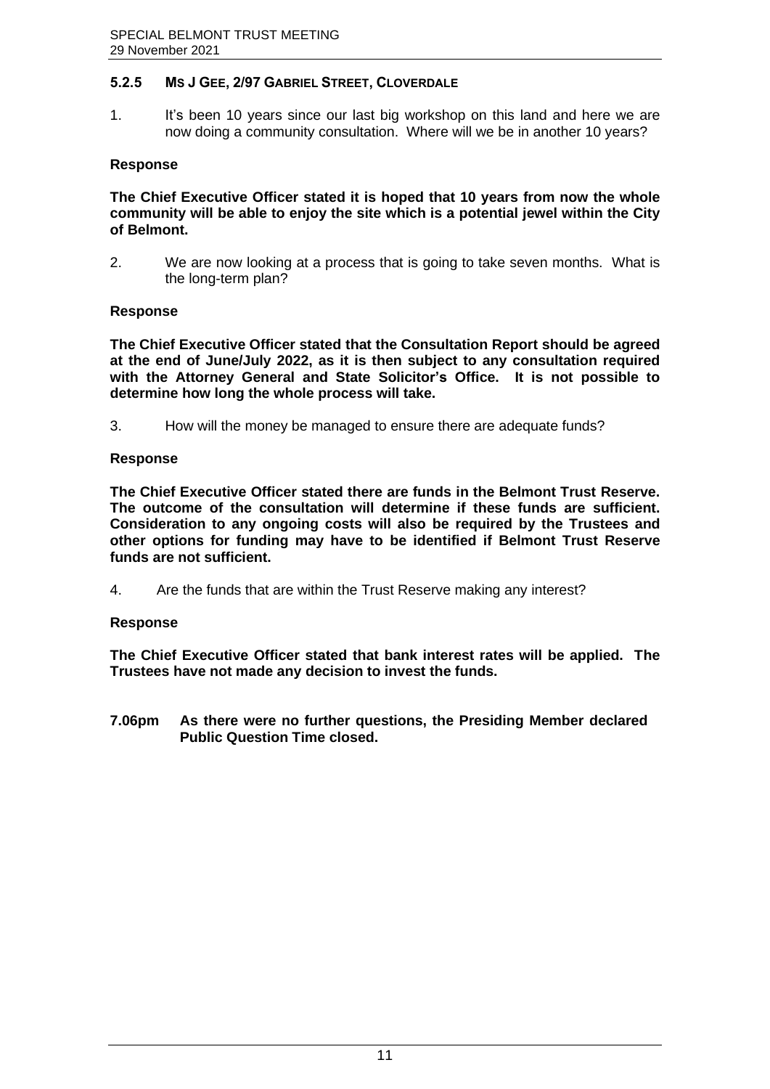# <span id="page-11-0"></span>**5.2.5 MS J GEE, 2/97 GABRIEL STREET, CLOVERDALE**

1. It's been 10 years since our last big workshop on this land and here we are now doing a community consultation. Where will we be in another 10 years?

#### **Response**

**The Chief Executive Officer stated it is hoped that 10 years from now the whole community will be able to enjoy the site which is a potential jewel within the City of Belmont.**

2. We are now looking at a process that is going to take seven months. What is the long-term plan?

#### **Response**

**The Chief Executive Officer stated that the Consultation Report should be agreed at the end of June/July 2022, as it is then subject to any consultation required with the Attorney General and State Solicitor's Office. It is not possible to determine how long the whole process will take.**

3. How will the money be managed to ensure there are adequate funds?

#### **Response**

**The Chief Executive Officer stated there are funds in the Belmont Trust Reserve. The outcome of the consultation will determine if these funds are sufficient. Consideration to any ongoing costs will also be required by the Trustees and other options for funding may have to be identified if Belmont Trust Reserve funds are not sufficient.**

4. Are the funds that are within the Trust Reserve making any interest?

#### **Response**

**The Chief Executive Officer stated that bank interest rates will be applied. The Trustees have not made any decision to invest the funds.**

**7.06pm As there were no further questions, the Presiding Member declared Public Question Time closed.**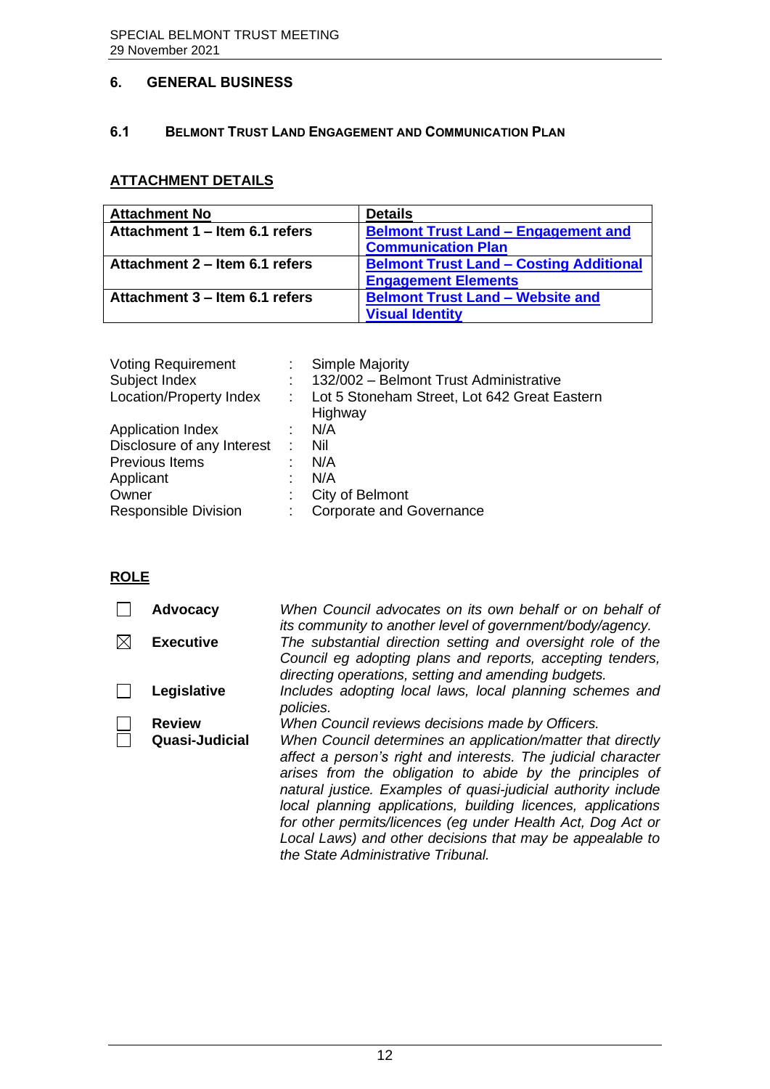# <span id="page-12-0"></span>**6. GENERAL BUSINESS**

## <span id="page-12-1"></span>**6.1 BELMONT TRUST LAND ENGAGEMENT AND COMMUNICATION PLAN**

# **ATTACHMENT DETAILS**

| <b>Attachment No</b>           | <b>Details</b>                                 |
|--------------------------------|------------------------------------------------|
| Attachment 1 – Item 6.1 refers | <b>Belmont Trust Land - Engagement and</b>     |
|                                | <b>Communication Plan</b>                      |
| Attachment 2 – Item 6.1 refers | <b>Belmont Trust Land - Costing Additional</b> |
|                                | <b>Engagement Elements</b>                     |
| Attachment 3 – Item 6.1 refers | <b>Belmont Trust Land - Website and</b>        |
|                                | <b>Visual Identity</b>                         |

| <b>Voting Requirement</b><br>Subject Index | Simple Majority<br>132/002 - Belmont Trust Administrative |
|--------------------------------------------|-----------------------------------------------------------|
| Location/Property Index                    | Lot 5 Stoneham Street, Lot 642 Great Eastern<br>Highway   |
| <b>Application Index</b>                   | N/A                                                       |
| Disclosure of any Interest                 | Nil                                                       |
| Previous Items                             | N/A                                                       |
| Applicant                                  | N/A                                                       |
| Owner                                      | City of Belmont                                           |
| <b>Responsible Division</b>                | <b>Corporate and Governance</b>                           |
|                                            |                                                           |

# **ROLE**

| <b>Advocacy</b>  | When Council advocates on its own behalf or on behalf of<br>its community to another level of government/body/agency.                                                                                                                                                                                                                                                                                                                                                                       |
|------------------|---------------------------------------------------------------------------------------------------------------------------------------------------------------------------------------------------------------------------------------------------------------------------------------------------------------------------------------------------------------------------------------------------------------------------------------------------------------------------------------------|
| <b>Executive</b> | The substantial direction setting and oversight role of the<br>Council eg adopting plans and reports, accepting tenders,<br>directing operations, setting and amending budgets.                                                                                                                                                                                                                                                                                                             |
| Legislative      | Includes adopting local laws, local planning schemes and<br>policies.                                                                                                                                                                                                                                                                                                                                                                                                                       |
| <b>Review</b>    | When Council reviews decisions made by Officers.                                                                                                                                                                                                                                                                                                                                                                                                                                            |
| Quasi-Judicial   | When Council determines an application/matter that directly<br>affect a person's right and interests. The judicial character<br>arises from the obligation to abide by the principles of<br>natural justice. Examples of quasi-judicial authority include<br>local planning applications, building licences, applications<br>for other permits/licences (eg under Health Act, Dog Act or<br>Local Laws) and other decisions that may be appealable to<br>the State Administrative Tribunal. |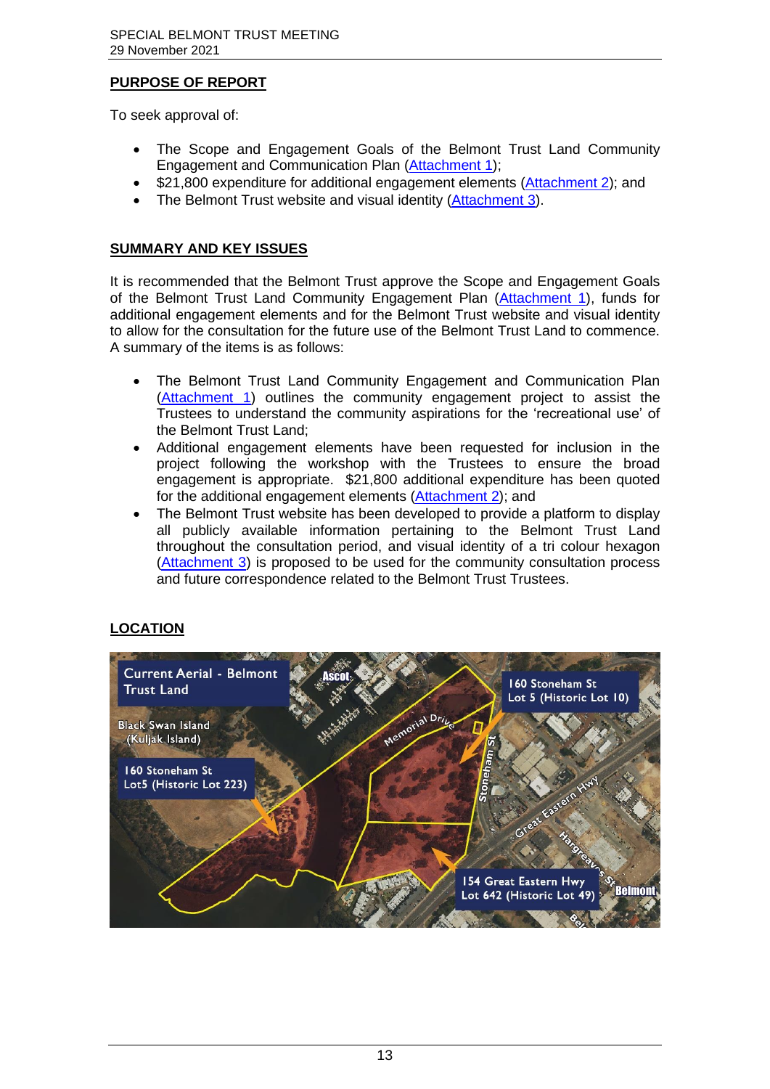# **PURPOSE OF REPORT**

To seek approval of:

- The Scope and Engagement Goals of the Belmont Trust Land Community Engagement and Communication Plan [\(Attachment 1\)](https://www.belmont.wa.gov.au/docs/ecm/Belmont%20Trust%2029%20November%202021%20Attachment%201);
- \$21,800 expenditure for additional engagement elements [\(Attachment 2\)](https://www.belmont.wa.gov.au/docs/ecm/Belmont%20Trust%2029%20November%202021%20Attachment%202); and
- The Belmont Trust website and visual identity [\(Attachment 3\)](https://www.belmont.wa.gov.au/docs/ecm/Belmont%20Trust%2029%20November%202021%20Attachment%203).

# **SUMMARY AND KEY ISSUES**

It is recommended that the Belmont Trust approve the Scope and Engagement Goals of the Belmont Trust Land Community Engagement Plan [\(Attachment 1\)](https://www.belmont.wa.gov.au/docs/ecm/Belmont%20Trust%2029%20November%202021%20Attachment%201), funds for additional engagement elements and for the Belmont Trust website and visual identity to allow for the consultation for the future use of the Belmont Trust Land to commence. A summary of the items is as follows:

- The Belmont Trust Land Community Engagement and Communication Plan [\(Attachment 1\)](https://www.belmont.wa.gov.au/docs/ecm/Belmont%20Trust%2029%20November%202021%20Attachment%201) outlines the community engagement project to assist the Trustees to understand the community aspirations for the 'recreational use' of the Belmont Trust Land;
- Additional engagement elements have been requested for inclusion in the project following the workshop with the Trustees to ensure the broad engagement is appropriate. \$21,800 additional expenditure has been quoted for the additional engagement elements [\(Attachment 2\)](https://www.belmont.wa.gov.au/docs/ecm/Belmont%20Trust%2029%20November%202021%20Attachment%202); and
- The Belmont Trust website has been developed to provide a platform to display all publicly available information pertaining to the Belmont Trust Land throughout the consultation period, and visual identity of a tri colour hexagon [\(Attachment 3\)](https://www.belmont.wa.gov.au/docs/ecm/Belmont%20Trust%2029%20November%202021%20Attachment%203) is proposed to be used for the community consultation process and future correspondence related to the Belmont Trust Trustees.

# **LOCATION**

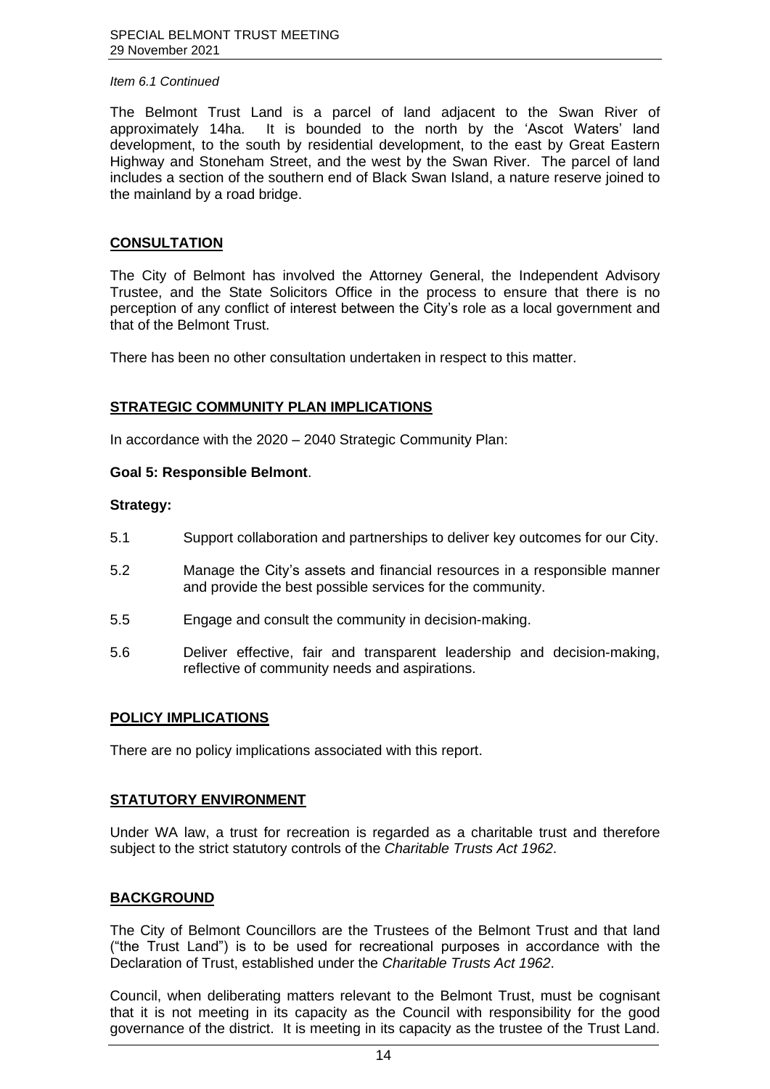The Belmont Trust Land is a parcel of land adjacent to the Swan River of approximately 14ha. It is bounded to the north by the 'Ascot Waters' land development, to the south by residential development, to the east by Great Eastern Highway and Stoneham Street, and the west by the Swan River. The parcel of land includes a section of the southern end of Black Swan Island, a nature reserve joined to the mainland by a road bridge.

#### **CONSULTATION**

The City of Belmont has involved the Attorney General, the Independent Advisory Trustee, and the State Solicitors Office in the process to ensure that there is no perception of any conflict of interest between the City's role as a local government and that of the Belmont Trust.

There has been no other consultation undertaken in respect to this matter.

#### **STRATEGIC COMMUNITY PLAN IMPLICATIONS**

In accordance with the 2020 – 2040 Strategic Community Plan:

#### **Goal 5: Responsible Belmont**.

#### **Strategy:**

- 5.1 Support collaboration and partnerships to deliver key outcomes for our City.
- 5.2 Manage the City's assets and financial resources in a responsible manner and provide the best possible services for the community.
- 5.5 Engage and consult the community in decision-making.
- 5.6 Deliver effective, fair and transparent leadership and decision-making, reflective of community needs and aspirations.

#### **POLICY IMPLICATIONS**

There are no policy implications associated with this report.

#### **STATUTORY ENVIRONMENT**

Under WA law, a trust for recreation is regarded as a charitable trust and therefore subject to the strict statutory controls of the *Charitable Trusts Act 1962*.

#### **BACKGROUND**

The City of Belmont Councillors are the Trustees of the Belmont Trust and that land ("the Trust Land") is to be used for recreational purposes in accordance with the Declaration of Trust, established under the *Charitable Trusts Act 1962*.

Council, when deliberating matters relevant to the Belmont Trust, must be cognisant that it is not meeting in its capacity as the Council with responsibility for the good governance of the district. It is meeting in its capacity as the trustee of the Trust Land.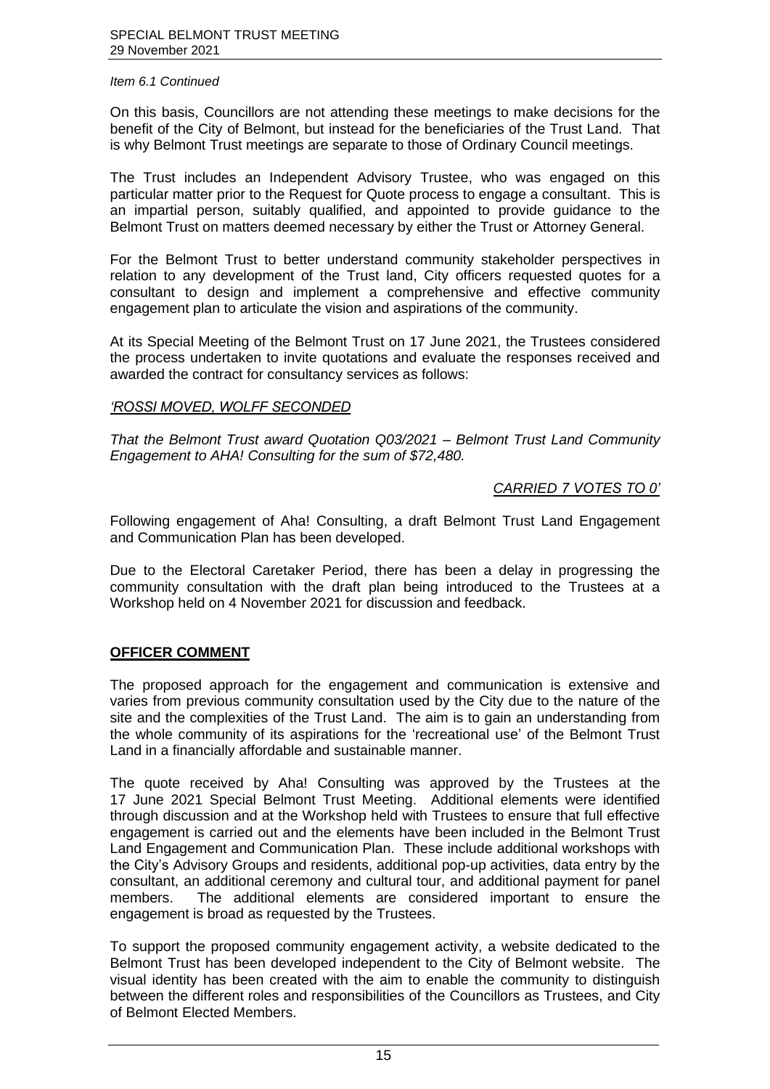On this basis, Councillors are not attending these meetings to make decisions for the benefit of the City of Belmont, but instead for the beneficiaries of the Trust Land. That is why Belmont Trust meetings are separate to those of Ordinary Council meetings.

The Trust includes an Independent Advisory Trustee, who was engaged on this particular matter prior to the Request for Quote process to engage a consultant. This is an impartial person, suitably qualified, and appointed to provide guidance to the Belmont Trust on matters deemed necessary by either the Trust or Attorney General.

For the Belmont Trust to better understand community stakeholder perspectives in relation to any development of the Trust land, City officers requested quotes for a consultant to design and implement a comprehensive and effective community engagement plan to articulate the vision and aspirations of the community.

At its Special Meeting of the Belmont Trust on 17 June 2021, the Trustees considered the process undertaken to invite quotations and evaluate the responses received and awarded the contract for consultancy services as follows:

#### *'ROSSI MOVED, WOLFF SECONDED*

*That the Belmont Trust award Quotation Q03/2021 – Belmont Trust Land Community Engagement to AHA! Consulting for the sum of \$72,480.*

#### *CARRIED 7 VOTES TO 0'*

Following engagement of Aha! Consulting, a draft Belmont Trust Land Engagement and Communication Plan has been developed.

Due to the Electoral Caretaker Period, there has been a delay in progressing the community consultation with the draft plan being introduced to the Trustees at a Workshop held on 4 November 2021 for discussion and feedback.

#### **OFFICER COMMENT**

The proposed approach for the engagement and communication is extensive and varies from previous community consultation used by the City due to the nature of the site and the complexities of the Trust Land. The aim is to gain an understanding from the whole community of its aspirations for the 'recreational use' of the Belmont Trust Land in a financially affordable and sustainable manner.

The quote received by Aha! Consulting was approved by the Trustees at the 17 June 2021 Special Belmont Trust Meeting. Additional elements were identified through discussion and at the Workshop held with Trustees to ensure that full effective engagement is carried out and the elements have been included in the Belmont Trust Land Engagement and Communication Plan. These include additional workshops with the City's Advisory Groups and residents, additional pop-up activities, data entry by the consultant, an additional ceremony and cultural tour, and additional payment for panel members. The additional elements are considered important to ensure the engagement is broad as requested by the Trustees.

To support the proposed community engagement activity, a website dedicated to the Belmont Trust has been developed independent to the City of Belmont website. The visual identity has been created with the aim to enable the community to distinguish between the different roles and responsibilities of the Councillors as Trustees, and City of Belmont Elected Members.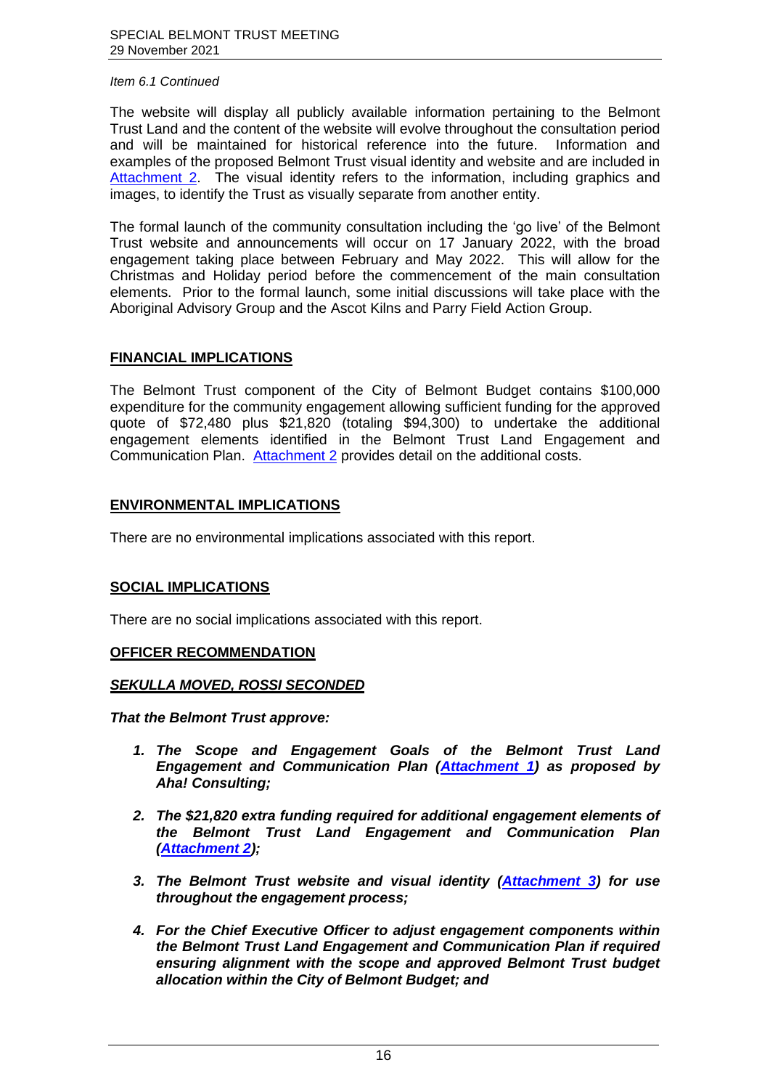The website will display all publicly available information pertaining to the Belmont Trust Land and the content of the website will evolve throughout the consultation period and will be maintained for historical reference into the future. Information and examples of the proposed Belmont Trust visual identity and website and are included in [Attachment 2.](https://www.belmont.wa.gov.au/docs/ecm/Belmont%20Trust%2029%20November%202021%20Attachment%202) The visual identity refers to the information, including graphics and images, to identify the Trust as visually separate from another entity.

The formal launch of the community consultation including the 'go live' of the Belmont Trust website and announcements will occur on 17 January 2022, with the broad engagement taking place between February and May 2022. This will allow for the Christmas and Holiday period before the commencement of the main consultation elements. Prior to the formal launch, some initial discussions will take place with the Aboriginal Advisory Group and the Ascot Kilns and Parry Field Action Group.

# **FINANCIAL IMPLICATIONS**

The Belmont Trust component of the City of Belmont Budget contains \$100,000 expenditure for the community engagement allowing sufficient funding for the approved quote of \$72,480 plus \$21,820 (totaling \$94,300) to undertake the additional engagement elements identified in the Belmont Trust Land Engagement and Communication Plan. [Attachment 2](https://www.belmont.wa.gov.au/docs/ecm/Belmont%20Trust%2029%20November%202021%20Attachment%202) provides detail on the additional costs.

# **ENVIRONMENTAL IMPLICATIONS**

There are no environmental implications associated with this report.

#### **SOCIAL IMPLICATIONS**

There are no social implications associated with this report.

#### **OFFICER RECOMMENDATION**

#### *SEKULLA MOVED, ROSSI SECONDED*

*That the Belmont Trust approve:*

- *1. The Scope and Engagement Goals of the Belmont Trust Land Engagement and Communication Plan [\(Attachment 1\)](https://www.belmont.wa.gov.au/docs/ecm/Belmont%20Trust%2029%20November%202021%20Attachment%201) as proposed by Aha! Consulting;*
- *2. The \$21,820 extra funding required for additional engagement elements of the Belmont Trust Land Engagement and Communication Plan [\(Attachment 2\)](https://www.belmont.wa.gov.au/docs/ecm/Belmont%20Trust%2029%20November%202021%20Attachment%202);*
- *3. The Belmont Trust website and visual identity [\(Attachment 3\)](https://www.belmont.wa.gov.au/docs/ecm/Belmont%20Trust%2029%20November%202021%20Attachment%203) for use throughout the engagement process;*
- *4. For the Chief Executive Officer to adjust engagement components within the Belmont Trust Land Engagement and Communication Plan if required ensuring alignment with the scope and approved Belmont Trust budget allocation within the City of Belmont Budget; and*